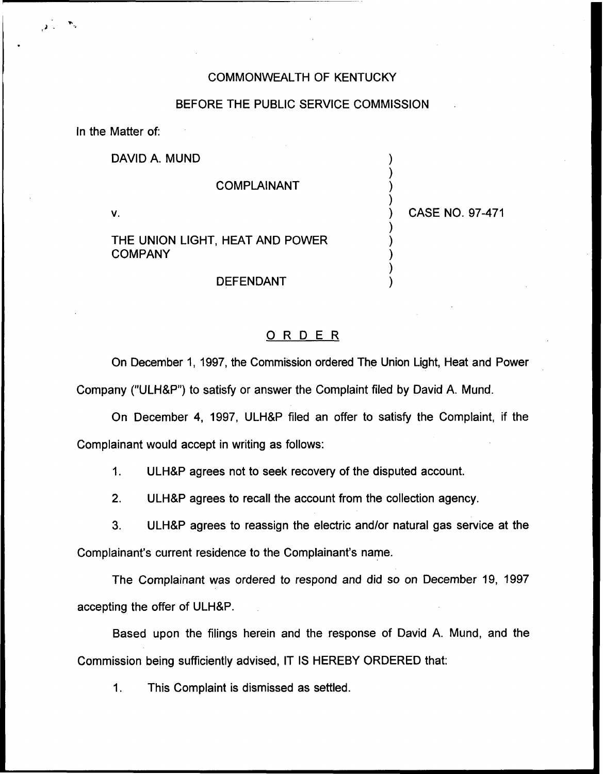## COMMONWEALTH OF KENTUCKY

## BEFORE THE PUBLIC SERVICE COMMISSION

In the Matter of:

DAVID A. MUND

## COMPLAINANT

V.

THE UNION LIGHT, HEAT AND POWER COMPANY

#### DEFENDANT

) CASE NO. 97-471

) ) ) )

) ) ) ) )

# ORDER

On December 1, 1997, the Commission ordered The Union Light, Heat and Power Company ("ULH&P") to satisfy or answer the Complaint filed by David A. Mund.

On December 4, 1997, ULH&P filed an offer to satisfy the Complaint, if the Complainant would accept in writing as follows:

1. ULH8P agrees not to seek recovery of the disputed account.

2. ULH8P agrees to recall the account from the collection agency.

3. ULH8P agrees to reassign the electric and/or natural gas service at the Complainant's current residence to the Complainant's name.

The Complainant was ordered to respond and did so on December 19, 1997 accepting the offer of ULH&P.

Based upon the filings herein and the response of David A. Mund, and the Commission being sufficiently advised, IT IS HEREBY ORDERED that:

1. This Complaint is dismissed as settled.